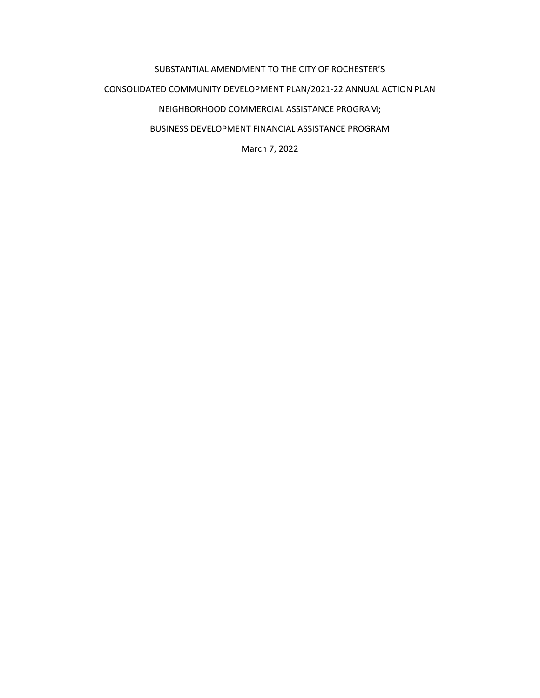## SUBSTANTIAL AMENDMENT TO THE CITY OF ROCHESTER'S CONSOLIDATED COMMUNITY DEVELOPMENT PLAN/2021-22 ANNUAL ACTION PLAN NEIGHBORHOOD COMMERCIAL ASSISTANCE PROGRAM; BUSINESS DEVELOPMENT FINANCIAL ASSISTANCE PROGRAM

March 7, 2022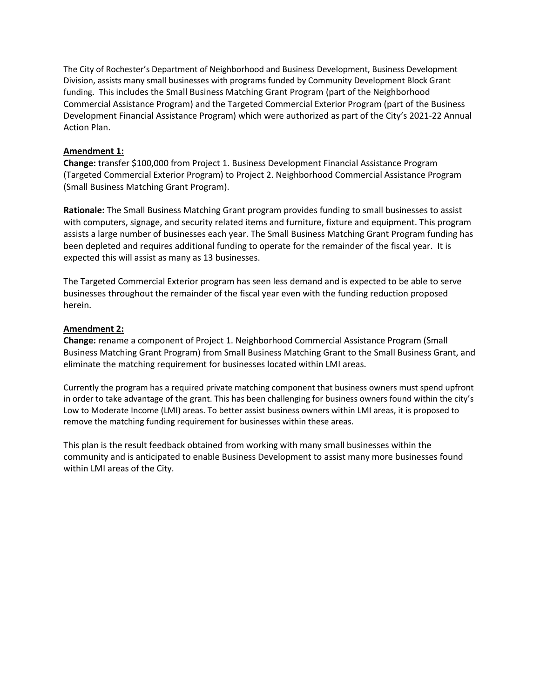The City of Rochester's Department of Neighborhood and Business Development, Business Development Division, assists many small businesses with programs funded by Community Development Block Grant funding. This includes the Small Business Matching Grant Program (part of the Neighborhood Commercial Assistance Program) and the Targeted Commercial Exterior Program (part of the Business Development Financial Assistance Program) which were authorized as part of the City's 2021-22 Annual Action Plan.

## **Amendment 1:**

**Change:** transfer \$100,000 from Project 1. Business Development Financial Assistance Program (Targeted Commercial Exterior Program) to Project 2. Neighborhood Commercial Assistance Program (Small Business Matching Grant Program).

**Rationale:** The Small Business Matching Grant program provides funding to small businesses to assist with computers, signage, and security related items and furniture, fixture and equipment. This program assists a large number of businesses each year. The Small Business Matching Grant Program funding has been depleted and requires additional funding to operate for the remainder of the fiscal year. It is expected this will assist as many as 13 businesses.

The Targeted Commercial Exterior program has seen less demand and is expected to be able to serve businesses throughout the remainder of the fiscal year even with the funding reduction proposed herein.

## **Amendment 2:**

**Change:** rename a component of Project 1. Neighborhood Commercial Assistance Program (Small Business Matching Grant Program) from Small Business Matching Grant to the Small Business Grant, and eliminate the matching requirement for businesses located within LMI areas.

Currently the program has a required private matching component that business owners must spend upfront in order to take advantage of the grant. This has been challenging for business owners found within the city's Low to Moderate Income (LMI) areas. To better assist business owners within LMI areas, it is proposed to remove the matching funding requirement for businesses within these areas.

This plan is the result feedback obtained from working with many small businesses within the community and is anticipated to enable Business Development to assist many more businesses found within LMI areas of the City.